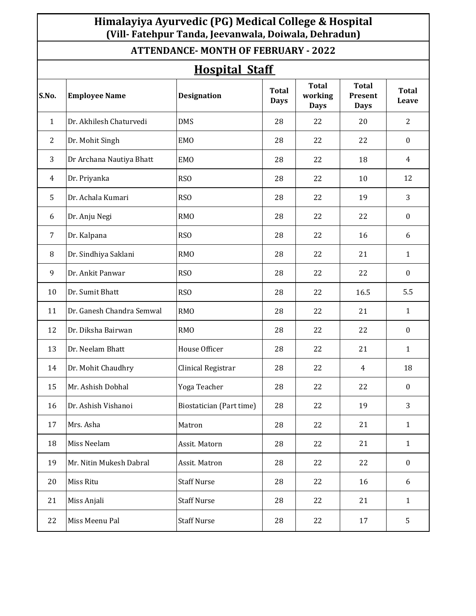# **Himalayiya Ayurvedic (PG) Medical College & Hospital (Vill- Fatehpur Tanda, Jeevanwala, Doiwala, Dehradun)**

### **ATTENDANCE- MONTH OF FEBRUARY - 2022**

| <b>Hospital Staff</b> |                           |                          |                             |                                        |                                        |                       |  |
|-----------------------|---------------------------|--------------------------|-----------------------------|----------------------------------------|----------------------------------------|-----------------------|--|
| S.No.                 | <b>Employee Name</b>      | <b>Designation</b>       | <b>Total</b><br><b>Days</b> | <b>Total</b><br>working<br><b>Days</b> | <b>Total</b><br>Present<br><b>Days</b> | <b>Total</b><br>Leave |  |
| $\mathbf{1}$          | Dr. Akhilesh Chaturvedi   | <b>DMS</b>               | 28                          | 22                                     | 20                                     | 2                     |  |
| 2                     | Dr. Mohit Singh           | <b>EMO</b>               | 28                          | 22                                     | 22                                     | $\boldsymbol{0}$      |  |
| 3                     | Dr Archana Nautiya Bhatt  | <b>EMO</b>               | 28                          | 22                                     | 18                                     | 4                     |  |
| 4                     | Dr. Priyanka              | RSO                      | 28                          | 22                                     | 10                                     | 12                    |  |
| 5                     | Dr. Achala Kumari         | RSO                      | 28                          | 22                                     | 19                                     | 3                     |  |
| 6                     | Dr. Anju Negi             | <b>RMO</b>               | 28                          | 22                                     | 22                                     | $\boldsymbol{0}$      |  |
| $\overline{7}$        | Dr. Kalpana               | <b>RSO</b>               | 28                          | 22                                     | 16                                     | 6                     |  |
| 8                     | Dr. Sindhiya Saklani      | <b>RMO</b>               | 28                          | 22                                     | 21                                     | $\mathbf{1}$          |  |
| 9                     | Dr. Ankit Panwar          | RSO                      | 28                          | 22                                     | 22                                     | $\boldsymbol{0}$      |  |
| 10                    | Dr. Sumit Bhatt           | RSO                      | 28                          | 22                                     | 16.5                                   | 5.5                   |  |
| 11                    | Dr. Ganesh Chandra Semwal | <b>RMO</b>               | 28                          | 22                                     | 21                                     | $\mathbf{1}$          |  |
| 12                    | Dr. Diksha Bairwan        | <b>RMO</b>               | 28                          | 22                                     | 22                                     | $\boldsymbol{0}$      |  |
| 13                    | Dr. Neelam Bhatt          | House Officer            | 28                          | 22                                     | 21                                     | $\mathbf{1}$          |  |
| 14                    | Dr. Mohit Chaudhry        | Clinical Registrar       | 28                          | 22                                     | $\overline{4}$                         | 18                    |  |
| 15                    | Mr. Ashish Dobhal         | Yoga Teacher             | 28                          | 22                                     | 22                                     | $\bf{0}$              |  |
| 16                    | Dr. Ashish Vishanoi       | Biostatician (Part time) | 28                          | 22                                     | 19                                     | 3                     |  |
| 17                    | Mrs. Asha                 | Matron                   | 28                          | 22                                     | 21                                     | $\mathbf{1}$          |  |
| 18                    | Miss Neelam               | Assit. Matorn            | 28                          | 22                                     | 21                                     | $\mathbf{1}$          |  |
| 19                    | Mr. Nitin Mukesh Dabral   | Assit. Matron            | 28                          | 22                                     | 22                                     | $\boldsymbol{0}$      |  |
| 20                    | Miss Ritu                 | <b>Staff Nurse</b>       | 28                          | 22                                     | 16                                     | 6                     |  |
| 21                    | Miss Anjali               | <b>Staff Nurse</b>       | 28                          | 22                                     | 21                                     | $\mathbf{1}$          |  |
| 22                    | Miss Meenu Pal            | <b>Staff Nurse</b>       | 28                          | 22                                     | 17                                     | 5                     |  |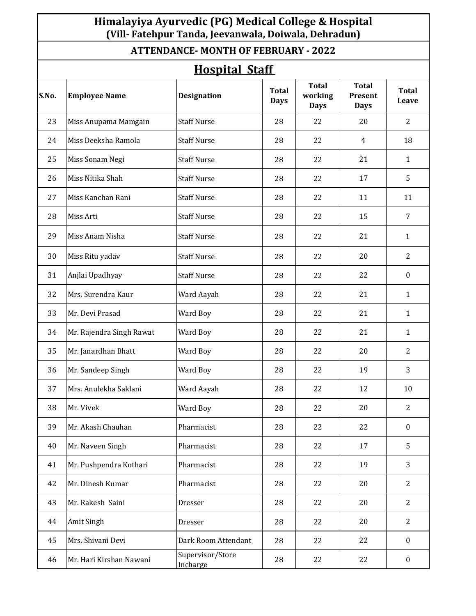# **Himalayiya Ayurvedic (PG) Medical College & Hospital (Vill- Fatehpur Tanda, Jeevanwala, Doiwala, Dehradun)**

### **ATTENDANCE- MONTH OF FEBRUARY - 2022**

| <b>Hospital Staff</b> |                          |                              |                             |                                        |                                        |                       |
|-----------------------|--------------------------|------------------------------|-----------------------------|----------------------------------------|----------------------------------------|-----------------------|
| S.No.                 | <b>Employee Name</b>     | <b>Designation</b>           | <b>Total</b><br><b>Days</b> | <b>Total</b><br>working<br><b>Days</b> | <b>Total</b><br>Present<br><b>Days</b> | <b>Total</b><br>Leave |
| 23                    | Miss Anupama Mamgain     | <b>Staff Nurse</b>           | 28                          | 22                                     | 20                                     | 2                     |
| 24                    | Miss Deeksha Ramola      | <b>Staff Nurse</b>           | 28                          | 22                                     | 4                                      | 18                    |
| 25                    | Miss Sonam Negi          | <b>Staff Nurse</b>           | 28                          | 22                                     | 21                                     | 1                     |
| 26                    | Miss Nitika Shah         | <b>Staff Nurse</b>           | 28                          | 22                                     | 17                                     | 5                     |
| 27                    | Miss Kanchan Rani        | <b>Staff Nurse</b>           | 28                          | 22                                     | 11                                     | 11                    |
| 28                    | Miss Arti                | <b>Staff Nurse</b>           | 28                          | 22                                     | 15                                     | 7                     |
| 29                    | Miss Anam Nisha          | <b>Staff Nurse</b>           | 28                          | 22                                     | 21                                     | $\mathbf{1}$          |
| 30                    | Miss Ritu yadav          | <b>Staff Nurse</b>           | 28                          | 22                                     | 20                                     | 2                     |
| 31                    | Anjlai Upadhyay          | <b>Staff Nurse</b>           | 28                          | 22                                     | 22                                     | $\boldsymbol{0}$      |
| 32                    | Mrs. Surendra Kaur       | Ward Aayah                   | 28                          | 22                                     | 21                                     | $\mathbf{1}$          |
| 33                    | Mr. Devi Prasad          | Ward Boy                     | 28                          | 22                                     | 21                                     | $\mathbf{1}$          |
| 34                    | Mr. Rajendra Singh Rawat | Ward Boy                     | 28                          | 22                                     | 21                                     | $\mathbf{1}$          |
| 35                    | Mr. Janardhan Bhatt      | Ward Boy                     | 28                          | 22                                     | 20                                     | 2                     |
| 36                    | Mr. Sandeep Singh        | Ward Boy                     | 28                          | 22                                     | 19                                     | 3                     |
| 37                    | Mrs. Anulekha Saklani    | Ward Aayah                   | 28                          | 22                                     | 12                                     | 10                    |
| 38                    | Mr. Vivek                | Ward Boy                     | 28                          | 22                                     | 20                                     | 2                     |
| 39                    | Mr. Akash Chauhan        | Pharmacist                   | 28                          | 22                                     | 22                                     | $\boldsymbol{0}$      |
| 40                    | Mr. Naveen Singh         | Pharmacist                   | 28                          | 22                                     | 17                                     | 5                     |
| 41                    | Mr. Pushpendra Kothari   | Pharmacist                   | 28                          | 22                                     | 19                                     | 3                     |
| 42                    | Mr. Dinesh Kumar         | Pharmacist                   | 28                          | 22                                     | 20                                     | $\overline{2}$        |
| 43                    | Mr. Rakesh Saini         | Dresser                      | 28                          | 22                                     | 20                                     | $\overline{2}$        |
| 44                    | Amit Singh               | Dresser                      | 28                          | 22                                     | 20                                     | $\overline{2}$        |
| 45                    | Mrs. Shivani Devi        | Dark Room Attendant          | 28                          | 22                                     | 22                                     | $\mathbf{0}$          |
| 46                    | Mr. Hari Kirshan Nawani  | Supervisor/Store<br>Incharge | 28                          | 22                                     | 22                                     | $\boldsymbol{0}$      |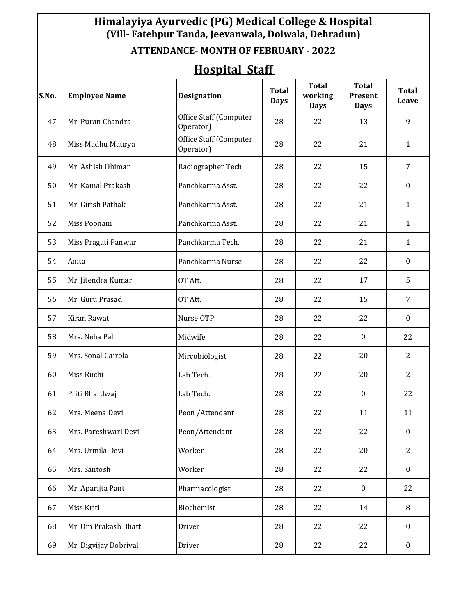### **Himalayiya Ayurvedic (PG) Medical College & Hospital (Vill- Fatehpur Tanda, Jeevanwala, Doiwala, Dehradun)**

#### **ATTENDANCE- MONTH OF FEBRUARY - 2022**

# **Hospital Staff**

|       | <u>поэркаг эсан</u>   |                                     |                             |                                        |                                        |                       |  |  |
|-------|-----------------------|-------------------------------------|-----------------------------|----------------------------------------|----------------------------------------|-----------------------|--|--|
| S.No. | <b>Employee Name</b>  | <b>Designation</b>                  | <b>Total</b><br><b>Days</b> | <b>Total</b><br>working<br><b>Days</b> | <b>Total</b><br>Present<br><b>Days</b> | <b>Total</b><br>Leave |  |  |
| 47    | Mr. Puran Chandra     | Office Staff (Computer<br>Operator) | 28                          | 22                                     | 13                                     | 9                     |  |  |
| 48    | Miss Madhu Maurya     | Office Staff (Computer<br>Operator) | 28                          | 22                                     | 21                                     | $\mathbf{1}$          |  |  |
| 49    | Mr. Ashish Dhiman     | Radiographer Tech.                  | 28                          | 22                                     | 15                                     | 7                     |  |  |
| 50    | Mr. Kamal Prakash     | Panchkarma Asst.                    | 28                          | 22                                     | 22                                     | $\bf{0}$              |  |  |
| 51    | Mr. Girish Pathak     | Panchkarma Asst.                    | 28                          | 22                                     | 21                                     | $\mathbf{1}$          |  |  |
| 52    | Miss Poonam           | Panchkarma Asst.                    | 28                          | 22                                     | 21                                     | $\mathbf{1}$          |  |  |
| 53    | Miss Pragati Panwar   | Panchkarma Tech.                    | 28                          | 22                                     | 21                                     | $\mathbf{1}$          |  |  |
| 54    | Anita                 | Panchkarma Nurse                    | 28                          | 22                                     | 22                                     | $\boldsymbol{0}$      |  |  |
| 55    | Mr. Jitendra Kumar    | OT Att.                             | 28                          | 22                                     | 17                                     | 5                     |  |  |
| 56    | Mr. Guru Prasad       | OT Att.                             | 28                          | 22                                     | 15                                     | $\overline{7}$        |  |  |
| 57    | Kiran Rawat           | Nurse OTP                           | 28                          | 22                                     | 22                                     | $\bf{0}$              |  |  |
| 58    | Mrs. Neha Pal         | Midwife                             | 28                          | 22                                     | $\bf{0}$                               | 22                    |  |  |
| 59    | Mrs. Sonal Gairola    | Mircobiologist                      | 28                          | 22                                     | 20                                     | $\overline{2}$        |  |  |
| 60    | Miss Ruchi            | Lab Tech.                           | 28                          | 22                                     | 20                                     | $\overline{2}$        |  |  |
| 61    | Priti Bhardwaj        | Lab Tech.                           | 28                          | 22                                     | $\bf{0}$                               | 22                    |  |  |
| 62    | Mrs. Meena Devi       | Peon / Attendant                    | 28                          | 22                                     | 11                                     | 11                    |  |  |
| 63    | Mrs. Pareshwari Devi  | Peon/Attendant                      | 28                          | 22                                     | 22                                     | $\boldsymbol{0}$      |  |  |
| 64    | Mrs. Urmila Devi      | Worker                              | 28                          | 22                                     | 20                                     | $\overline{2}$        |  |  |
| 65    | Mrs. Santosh          | Worker                              | 28                          | 22                                     | 22                                     | $\mathbf{0}$          |  |  |
| 66    | Mr. Aparijta Pant     | Pharmacologist                      | 28                          | 22                                     | $\bf{0}$                               | 22                    |  |  |
| 67    | Miss Kriti            | Biochemist                          | 28                          | 22                                     | 14                                     | 8                     |  |  |
| 68    | Mr. Om Prakash Bhatt  | Driver                              | 28                          | 22                                     | 22                                     | $\boldsymbol{0}$      |  |  |
| 69    | Mr. Digvijay Dobriyal | Driver                              | 28                          | 22                                     | 22                                     | $\boldsymbol{0}$      |  |  |
|       |                       |                                     |                             |                                        |                                        |                       |  |  |